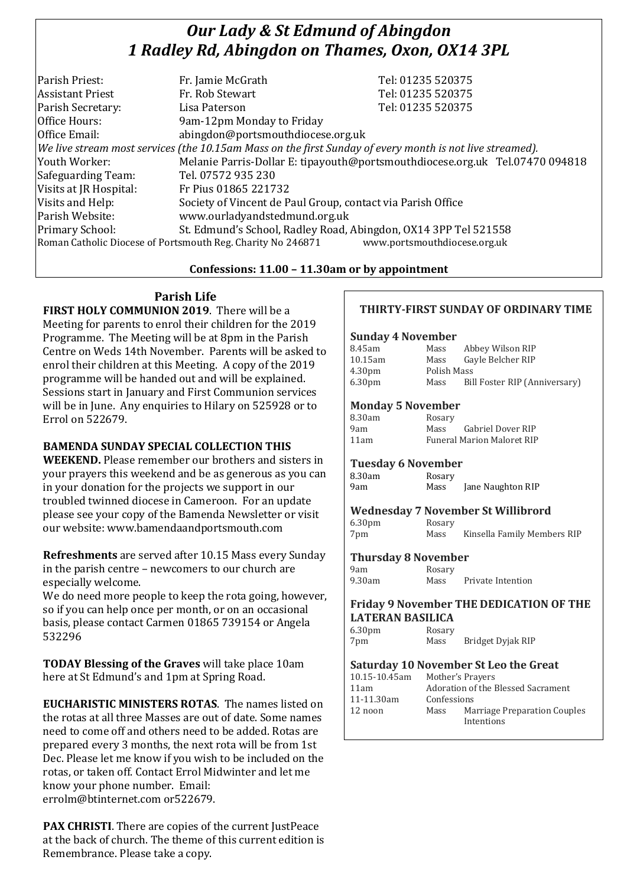# *Our Lady & St Edmund of Abingdon 1 Radley Rd, Abingdon on Thames, Oxon, OX14 3PL*

| Parish Priest:          | Fr. Jamie McGrath                                                                                        | Tel: 01235 520375                                                            |  |
|-------------------------|----------------------------------------------------------------------------------------------------------|------------------------------------------------------------------------------|--|
| <b>Assistant Priest</b> | Fr. Rob Stewart                                                                                          | Tel: 01235 520375                                                            |  |
| Parish Secretary:       | Lisa Paterson                                                                                            | Tel: 01235 520375                                                            |  |
| Office Hours:           | 9am-12pm Monday to Friday                                                                                |                                                                              |  |
| Office Email:           | abingdon@portsmouthdiocese.org.uk                                                                        |                                                                              |  |
|                         | We live stream most services (the 10.15am Mass on the first Sunday of every month is not live streamed). |                                                                              |  |
| Youth Worker:           |                                                                                                          | Melanie Parris-Dollar E: tipayouth@portsmouthdiocese.org.uk Tel.07470 094818 |  |
| Safeguarding Team:      | Tel. 07572 935 230                                                                                       |                                                                              |  |
| Visits at JR Hospital:  | Fr Pius 01865 221732                                                                                     |                                                                              |  |
| Visits and Help:        | Society of Vincent de Paul Group, contact via Parish Office                                              |                                                                              |  |
| Parish Website:         | www.ourladyandstedmund.org.uk                                                                            |                                                                              |  |
| Primary School:         | St. Edmund's School, Radley Road, Abingdon, OX14 3PP Tel 521558                                          |                                                                              |  |
|                         | Roman Catholic Diocese of Portsmouth Reg. Charity No 246871                                              | www.portsmouthdiocese.org.uk                                                 |  |
|                         |                                                                                                          |                                                                              |  |

#### **Confessions: 11.00 – 11.30am or by appointment**

**Parish Life**

**FIRST HOLY COMMUNION 2019**. There will be a Meeting for parents to enrol their children for the 2019 Programme. The Meeting will be at 8pm in the Parish Centre on Weds 14th November. Parents will be asked to enrol their children at this Meeting. A copy of the 2019 programme will be handed out and will be explained. Sessions start in January and First Communion services will be in June. Any enquiries to Hilary on 525928 or to Errol on 522679.

## **BAMENDA SUNDAY SPECIAL COLLECTION THIS**

**WEEKEND.** Please remember our brothers and sisters in your prayers this weekend and be as generous as you can in your donation for the projects we support in our troubled twinned diocese in Cameroon. For an update please see your copy of the Bamenda Newsletter or visit our website: www.bamendaandportsmouth.com

**Refreshments** are served after 10.15 Mass every Sunday in the parish centre – newcomers to our church are especially welcome.

We do need more people to keep the rota going, however, so if you can help once per month, or on an occasional basis, please contact Carmen 01865 739154 or Angela 532296

**TODAY Blessing of the Graves** will take place 10am here at St Edmund's and 1pm at Spring Road.

**EUCHARISTIC MINISTERS ROTAS**. The names listed on the rotas at all three Masses are out of date. Some names need to come off and others need to be added. Rotas are prepared every 3 months, the next rota will be from 1st Dec. Please let me know if you wish to be included on the rotas, or taken off. Contact Errol Midwinter and let me know your phone number. Email: errolm@btinternet.com or522679.

**PAX CHRISTI.** There are copies of the current JustPeace at the back of church. The theme of this current edition is Remembrance. Please take a copy.

## **THIRTY-FIRST SUNDAY OF ORDINARY TIME**

#### **Sunday 4 November**

| 8.45am             | Mass        | Abbey Wilson RIP              |  |
|--------------------|-------------|-------------------------------|--|
| 10.15am            | Mass        | Gayle Belcher RIP             |  |
| 4.30 <sub>pm</sub> | Polish Mass |                               |  |
| 6.30 <sub>pm</sub> | Mass        | Bill Foster RIP (Anniversary) |  |
|                    |             |                               |  |

#### **Monday 5 November**

| 8.30am | Rosary |                                   |
|--------|--------|-----------------------------------|
| 9am    | Mass   | Gabriel Dover RIP                 |
| 11am   |        | <b>Funeral Marion Maloret RIP</b> |

#### **Tuesday 6 November**

8.30am Rosary 9am Mass Jane Naughton RIP

## **Wednesday 7 November St Willibrord**

6.30pm Rosary 7pm Mass Kinsella Family Members RIP

#### **Thursday 8 November**

9am Rosary 9.30am Mass Private Intention

#### **Friday 9 November THE DEDICATION OF THE LATERAN BASILICA**

6.30pm Rosary 7pm Mass Bridget Dyjak RIP

#### **Saturday 10 November St Leo the Great**

| 10.15-10.45am |                                    | Mother's Prayers                           |  |
|---------------|------------------------------------|--------------------------------------------|--|
| 11am          | Adoration of the Blessed Sacrament |                                            |  |
| 11-11.30am    | Confessions                        |                                            |  |
| 12 noon       | Mass                               | Marriage Preparation Couples<br>Intentions |  |